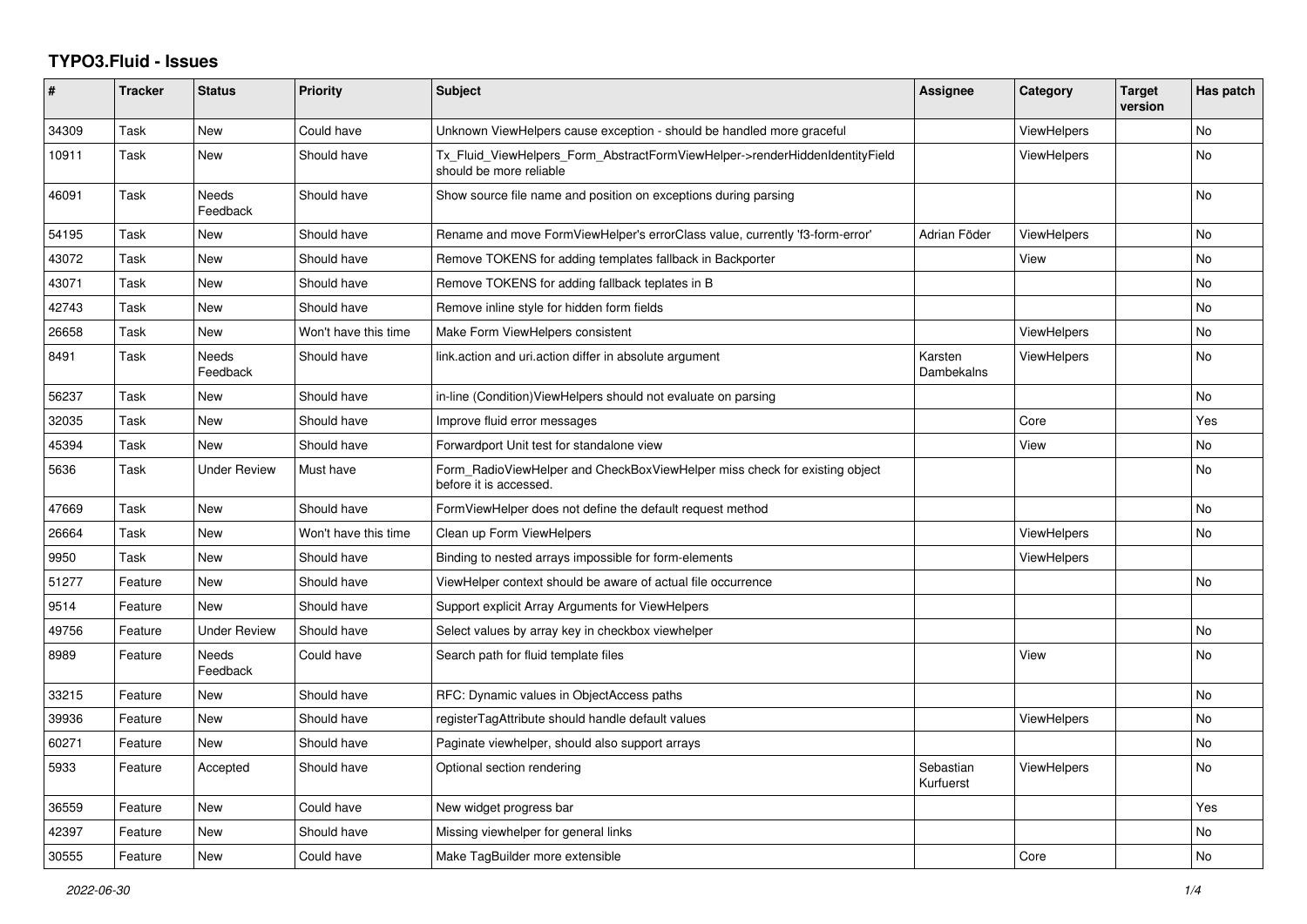## **TYPO3.Fluid - Issues**

| ∦     | <b>Tracker</b> | <b>Status</b>            | Priority             | <b>Subject</b>                                                                                         | Assignee               | Category           | <b>Target</b><br>version | Has patch |
|-------|----------------|--------------------------|----------------------|--------------------------------------------------------------------------------------------------------|------------------------|--------------------|--------------------------|-----------|
| 34309 | Task           | New                      | Could have           | Unknown ViewHelpers cause exception - should be handled more graceful                                  |                        | <b>ViewHelpers</b> |                          | No        |
| 10911 | Task           | New                      | Should have          | Tx_Fluid_ViewHelpers_Form_AbstractFormViewHelper->renderHiddenIdentityField<br>should be more reliable |                        | ViewHelpers        |                          | No        |
| 46091 | Task           | <b>Needs</b><br>Feedback | Should have          | Show source file name and position on exceptions during parsing                                        |                        |                    |                          | <b>No</b> |
| 54195 | Task           | New                      | Should have          | Rename and move FormViewHelper's errorClass value, currently 'f3-form-error'                           | Adrian Föder           | <b>ViewHelpers</b> |                          | No        |
| 43072 | Task           | New                      | Should have          | Remove TOKENS for adding templates fallback in Backporter                                              |                        | View               |                          | <b>No</b> |
| 43071 | Task           | New                      | Should have          | Remove TOKENS for adding fallback teplates in B                                                        |                        |                    |                          | No        |
| 42743 | Task           | <b>New</b>               | Should have          | Remove inline style for hidden form fields                                                             |                        |                    |                          | <b>No</b> |
| 26658 | Task           | New                      | Won't have this time | Make Form ViewHelpers consistent                                                                       |                        | <b>ViewHelpers</b> |                          | No        |
| 8491  | Task           | Needs<br>Feedback        | Should have          | link.action and uri.action differ in absolute argument                                                 | Karsten<br>Dambekalns  | ViewHelpers        |                          | No        |
| 56237 | Task           | <b>New</b>               | Should have          | in-line (Condition)ViewHelpers should not evaluate on parsing                                          |                        |                    |                          | <b>No</b> |
| 32035 | Task           | New                      | Should have          | Improve fluid error messages                                                                           |                        | Core               |                          | Yes       |
| 45394 | Task           | <b>New</b>               | Should have          | Forwardport Unit test for standalone view                                                              |                        | View               |                          | No        |
| 5636  | Task           | Under Review             | Must have            | Form RadioViewHelper and CheckBoxViewHelper miss check for existing object<br>before it is accessed.   |                        |                    |                          | <b>No</b> |
| 47669 | Task           | <b>New</b>               | Should have          | FormViewHelper does not define the default request method                                              |                        |                    |                          | <b>No</b> |
| 26664 | Task           | New                      | Won't have this time | Clean up Form ViewHelpers                                                                              |                        | <b>ViewHelpers</b> |                          | No        |
| 9950  | Task           | New                      | Should have          | Binding to nested arrays impossible for form-elements                                                  |                        | <b>ViewHelpers</b> |                          |           |
| 51277 | Feature        | <b>New</b>               | Should have          | ViewHelper context should be aware of actual file occurrence                                           |                        |                    |                          | <b>No</b> |
| 9514  | Feature        | <b>New</b>               | Should have          | Support explicit Array Arguments for ViewHelpers                                                       |                        |                    |                          |           |
| 49756 | Feature        | <b>Under Review</b>      | Should have          | Select values by array key in checkbox viewhelper                                                      |                        |                    |                          | No        |
| 8989  | Feature        | <b>Needs</b><br>Feedback | Could have           | Search path for fluid template files                                                                   |                        | View               |                          | No        |
| 33215 | Feature        | <b>New</b>               | Should have          | RFC: Dynamic values in ObjectAccess paths                                                              |                        |                    |                          | <b>No</b> |
| 39936 | Feature        | New                      | Should have          | registerTagAttribute should handle default values                                                      |                        | <b>ViewHelpers</b> |                          | <b>No</b> |
| 60271 | Feature        | New                      | Should have          | Paginate viewhelper, should also support arrays                                                        |                        |                    |                          | No        |
| 5933  | Feature        | Accepted                 | Should have          | Optional section rendering                                                                             | Sebastian<br>Kurfuerst | <b>ViewHelpers</b> |                          | <b>No</b> |
| 36559 | Feature        | New                      | Could have           | New widget progress bar                                                                                |                        |                    |                          | Yes       |
| 42397 | Feature        | New                      | Should have          | Missing viewhelper for general links                                                                   |                        |                    |                          | No        |
| 30555 | Feature        | New                      | Could have           | Make TagBuilder more extensible                                                                        |                        | Core               |                          | No        |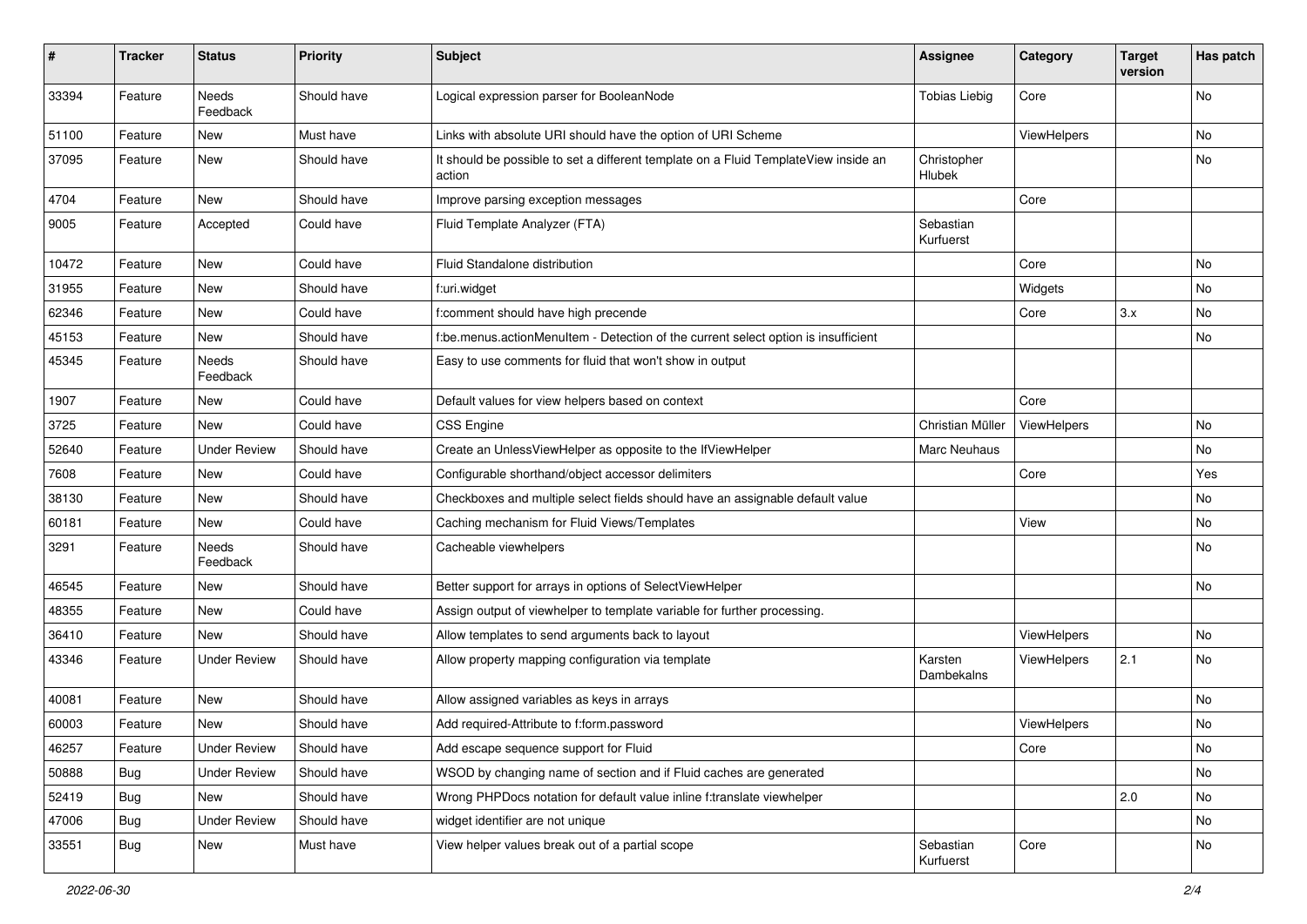| ∦     | <b>Tracker</b> | <b>Status</b>            | <b>Priority</b> | <b>Subject</b>                                                                                | <b>Assignee</b>        | Category    | <b>Target</b><br>version | Has patch |
|-------|----------------|--------------------------|-----------------|-----------------------------------------------------------------------------------------------|------------------------|-------------|--------------------------|-----------|
| 33394 | Feature        | <b>Needs</b><br>Feedback | Should have     | Logical expression parser for BooleanNode                                                     | <b>Tobias Liebig</b>   | Core        |                          | No        |
| 51100 | Feature        | New                      | Must have       | Links with absolute URI should have the option of URI Scheme                                  |                        | ViewHelpers |                          | No        |
| 37095 | Feature        | New                      | Should have     | It should be possible to set a different template on a Fluid TemplateView inside an<br>action | Christopher<br>Hlubek  |             |                          | No        |
| 4704  | Feature        | <b>New</b>               | Should have     | Improve parsing exception messages                                                            |                        | Core        |                          |           |
| 9005  | Feature        | Accepted                 | Could have      | Fluid Template Analyzer (FTA)                                                                 | Sebastian<br>Kurfuerst |             |                          |           |
| 10472 | Feature        | <b>New</b>               | Could have      | Fluid Standalone distribution                                                                 |                        | Core        |                          | No        |
| 31955 | Feature        | New                      | Should have     | f:uri.widget                                                                                  |                        | Widgets     |                          | No        |
| 62346 | Feature        | New                      | Could have      | f:comment should have high precende                                                           |                        | Core        | 3.x                      | No        |
| 45153 | Feature        | New                      | Should have     | f:be.menus.actionMenuItem - Detection of the current select option is insufficient            |                        |             |                          | No        |
| 45345 | Feature        | Needs<br>Feedback        | Should have     | Easy to use comments for fluid that won't show in output                                      |                        |             |                          |           |
| 1907  | Feature        | New                      | Could have      | Default values for view helpers based on context                                              |                        | Core        |                          |           |
| 3725  | Feature        | New                      | Could have      | <b>CSS Engine</b>                                                                             | Christian Müller       | ViewHelpers |                          | No.       |
| 52640 | Feature        | <b>Under Review</b>      | Should have     | Create an UnlessViewHelper as opposite to the IfViewHelper                                    | Marc Neuhaus           |             |                          | No        |
| 7608  | Feature        | New                      | Could have      | Configurable shorthand/object accessor delimiters                                             |                        | Core        |                          | Yes       |
| 38130 | Feature        | New                      | Should have     | Checkboxes and multiple select fields should have an assignable default value                 |                        |             |                          | No        |
| 60181 | Feature        | <b>New</b>               | Could have      | Caching mechanism for Fluid Views/Templates                                                   |                        | View        |                          | <b>No</b> |
| 3291  | Feature        | Needs<br>Feedback        | Should have     | Cacheable viewhelpers                                                                         |                        |             |                          | No        |
| 46545 | Feature        | New                      | Should have     | Better support for arrays in options of SelectViewHelper                                      |                        |             |                          | No        |
| 48355 | Feature        | New                      | Could have      | Assign output of viewhelper to template variable for further processing.                      |                        |             |                          |           |
| 36410 | Feature        | New                      | Should have     | Allow templates to send arguments back to layout                                              |                        | ViewHelpers |                          | No        |
| 43346 | Feature        | <b>Under Review</b>      | Should have     | Allow property mapping configuration via template                                             | Karsten<br>Dambekalns  | ViewHelpers | 2.1                      | No.       |
| 40081 | Feature        | New                      | Should have     | Allow assigned variables as keys in arrays                                                    |                        |             |                          | <b>No</b> |
| 60003 | Feature        | New                      | Should have     | Add required-Attribute to f:form.password                                                     |                        | ViewHelpers |                          | No        |
| 46257 | Feature        | <b>Under Review</b>      | Should have     | Add escape sequence support for Fluid                                                         |                        | Core        |                          | No        |
| 50888 | <b>Bug</b>     | <b>Under Review</b>      | Should have     | WSOD by changing name of section and if Fluid caches are generated                            |                        |             |                          | No        |
| 52419 | Bug            | New                      | Should have     | Wrong PHPDocs notation for default value inline f:translate viewhelper                        |                        |             | 2.0                      | No        |
| 47006 | <b>Bug</b>     | <b>Under Review</b>      | Should have     | widget identifier are not unique                                                              |                        |             |                          | No        |
| 33551 | <b>Bug</b>     | New                      | Must have       | View helper values break out of a partial scope                                               | Sebastian<br>Kurfuerst | Core        |                          | No        |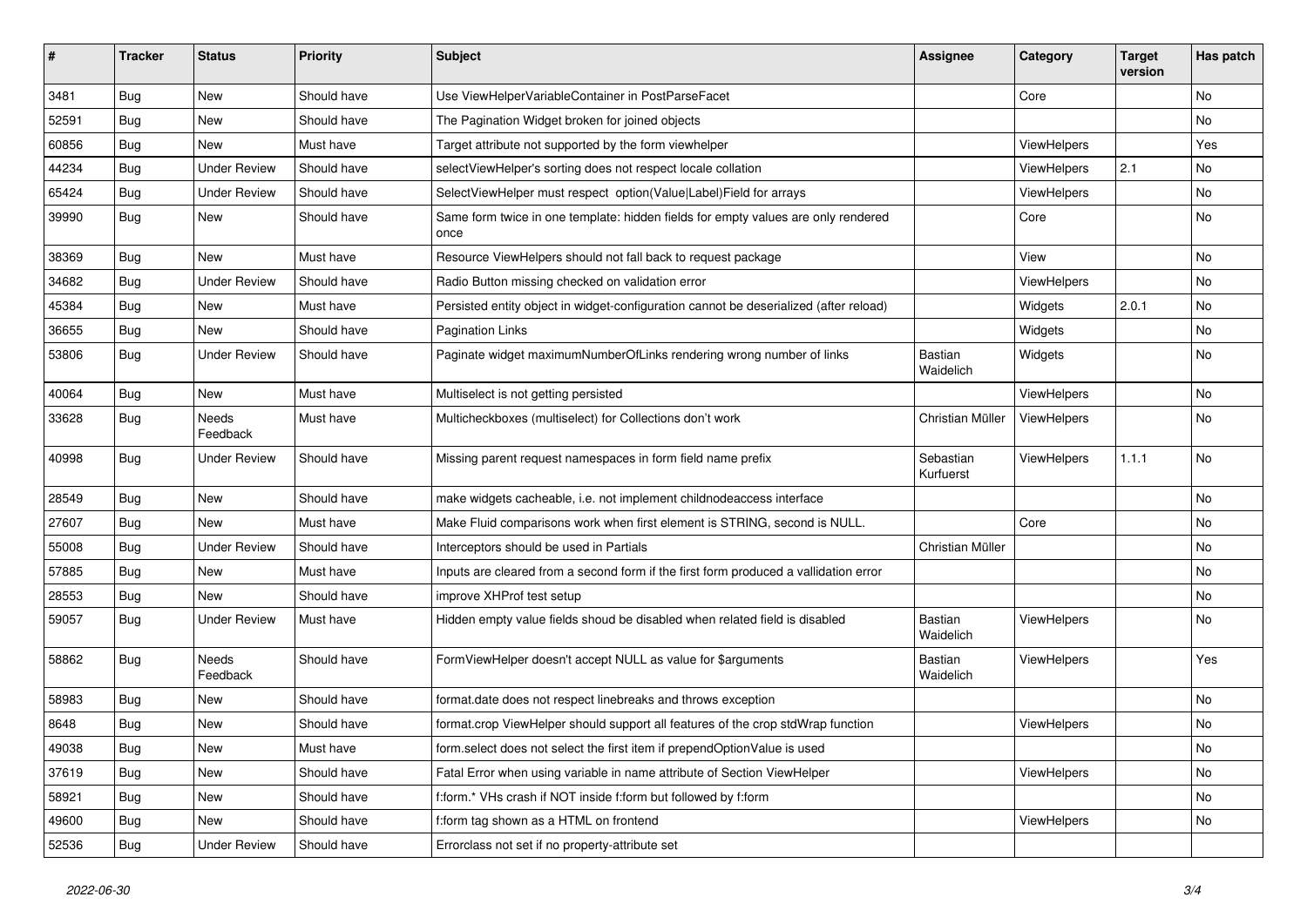| #     | <b>Tracker</b> | <b>Status</b>       | <b>Priority</b> | <b>Subject</b>                                                                            | Assignee               | Category    | <b>Target</b><br>version | Has patch |
|-------|----------------|---------------------|-----------------|-------------------------------------------------------------------------------------------|------------------------|-------------|--------------------------|-----------|
| 3481  | Bug            | New                 | Should have     | Use ViewHelperVariableContainer in PostParseFacet                                         |                        | Core        |                          | <b>No</b> |
| 52591 | Bug            | New                 | Should have     | The Pagination Widget broken for joined objects                                           |                        |             |                          | No        |
| 60856 | Bug            | New                 | Must have       | Target attribute not supported by the form viewhelper                                     |                        | ViewHelpers |                          | Yes       |
| 44234 | Bug            | <b>Under Review</b> | Should have     | selectViewHelper's sorting does not respect locale collation                              |                        | ViewHelpers | 2.1                      | No        |
| 65424 | Bug            | Under Review        | Should have     | SelectViewHelper must respect option(Value Label)Field for arrays                         |                        | ViewHelpers |                          | No        |
| 39990 | Bug            | New                 | Should have     | Same form twice in one template: hidden fields for empty values are only rendered<br>once |                        | Core        |                          | <b>No</b> |
| 38369 | Bug            | New                 | Must have       | Resource ViewHelpers should not fall back to request package                              |                        | View        |                          | <b>No</b> |
| 34682 | Bug            | <b>Under Review</b> | Should have     | Radio Button missing checked on validation error                                          |                        | ViewHelpers |                          | <b>No</b> |
| 45384 | Bug            | New                 | Must have       | Persisted entity object in widget-configuration cannot be deserialized (after reload)     |                        | Widgets     | 2.0.1                    | <b>No</b> |
| 36655 | <b>Bug</b>     | New                 | Should have     | <b>Pagination Links</b>                                                                   |                        | Widgets     |                          | No        |
| 53806 | Bug            | <b>Under Review</b> | Should have     | Paginate widget maximumNumberOfLinks rendering wrong number of links                      | Bastian<br>Waidelich   | Widgets     |                          | <b>No</b> |
| 40064 | Bug            | New                 | Must have       | Multiselect is not getting persisted                                                      |                        | ViewHelpers |                          | <b>No</b> |
| 33628 | Bug            | Needs<br>Feedback   | Must have       | Multicheckboxes (multiselect) for Collections don't work                                  | Christian Müller       | ViewHelpers |                          | No        |
| 40998 | Bug            | Under Review        | Should have     | Missing parent request namespaces in form field name prefix                               | Sebastian<br>Kurfuerst | ViewHelpers | 1.1.1                    | <b>No</b> |
| 28549 | <b>Bug</b>     | New                 | Should have     | make widgets cacheable, i.e. not implement childnodeaccess interface                      |                        |             |                          | <b>No</b> |
| 27607 | Bug            | New                 | Must have       | Make Fluid comparisons work when first element is STRING, second is NULL.                 |                        | Core        |                          | <b>No</b> |
| 55008 | <b>Bug</b>     | <b>Under Review</b> | Should have     | Interceptors should be used in Partials                                                   | Christian Müller       |             |                          | No        |
| 57885 | <b>Bug</b>     | New                 | Must have       | Inputs are cleared from a second form if the first form produced a vallidation error      |                        |             |                          | <b>No</b> |
| 28553 | <b>Bug</b>     | New                 | Should have     | improve XHProf test setup                                                                 |                        |             |                          | No        |
| 59057 | Bug            | Under Review        | Must have       | Hidden empty value fields shoud be disabled when related field is disabled                | Bastian<br>Waidelich   | ViewHelpers |                          | <b>No</b> |
| 58862 | Bug            | Needs<br>Feedback   | Should have     | FormViewHelper doesn't accept NULL as value for \$arguments                               | Bastian<br>Waidelich   | ViewHelpers |                          | Yes       |
| 58983 | Bug            | New                 | Should have     | format.date does not respect linebreaks and throws exception                              |                        |             |                          | <b>No</b> |
| 8648  | <b>Bug</b>     | New                 | Should have     | format.crop ViewHelper should support all features of the crop stdWrap function           |                        | ViewHelpers |                          | No        |
| 49038 | <b>Bug</b>     | New                 | Must have       | form.select does not select the first item if prependOptionValue is used                  |                        |             |                          | No        |
| 37619 | Bug            | New                 | Should have     | Fatal Error when using variable in name attribute of Section ViewHelper                   |                        | ViewHelpers |                          | No        |
| 58921 | Bug            | New                 | Should have     | f:form.* VHs crash if NOT inside f:form but followed by f:form                            |                        |             |                          | No        |
| 49600 | Bug            | New                 | Should have     | f:form tag shown as a HTML on frontend                                                    |                        | ViewHelpers |                          | No        |
| 52536 | <b>Bug</b>     | <b>Under Review</b> | Should have     | Errorclass not set if no property-attribute set                                           |                        |             |                          |           |